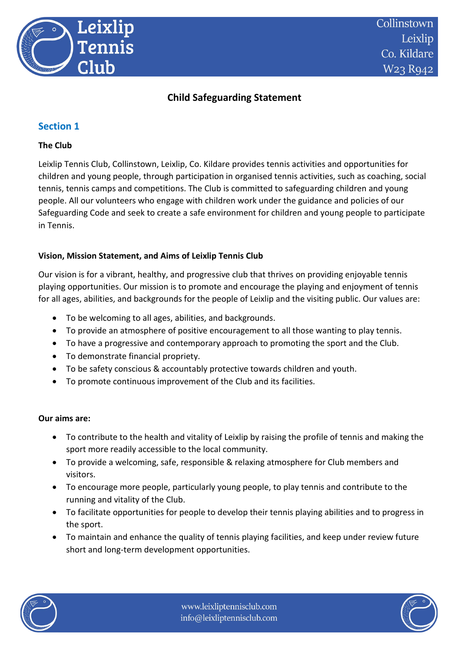

# **Child Safeguarding Statement**

### **Section 1**

#### **The Club**

Leixlip Tennis Club, Collinstown, Leixlip, Co. Kildare provides tennis activities and opportunities for children and young people, through participation in organised tennis activities, such as coaching, social tennis, tennis camps and competitions. The Club is committed to safeguarding children and young people. All our volunteers who engage with children work under the guidance and policies of our Safeguarding Code and seek to create a safe environment for children and young people to participate in Tennis.

#### **Vision, Mission Statement, and Aims of Leixlip Tennis Club**

Our vision is for a vibrant, healthy, and progressive club that thrives on providing enjoyable tennis playing opportunities. Our mission is to promote and encourage the playing and enjoyment of tennis for all ages, abilities, and backgrounds for the people of Leixlip and the visiting public. Our values are:

- To be welcoming to all ages, abilities, and backgrounds.
- To provide an atmosphere of positive encouragement to all those wanting to play tennis.
- To have a progressive and contemporary approach to promoting the sport and the Club.
- To demonstrate financial propriety.
- To be safety conscious & accountably protective towards children and youth.
- To promote continuous improvement of the Club and its facilities.

#### **Our aims are:**

- To contribute to the health and vitality of Leixlip by raising the profile of tennis and making the sport more readily accessible to the local community.
- To provide a welcoming, safe, responsible & relaxing atmosphere for Club members and visitors.
- To encourage more people, particularly young people, to play tennis and contribute to the running and vitality of the Club.
- To facilitate opportunities for people to develop their tennis playing abilities and to progress in the sport.
- To maintain and enhance the quality of tennis playing facilities, and keep under review future short and long-term development opportunities.



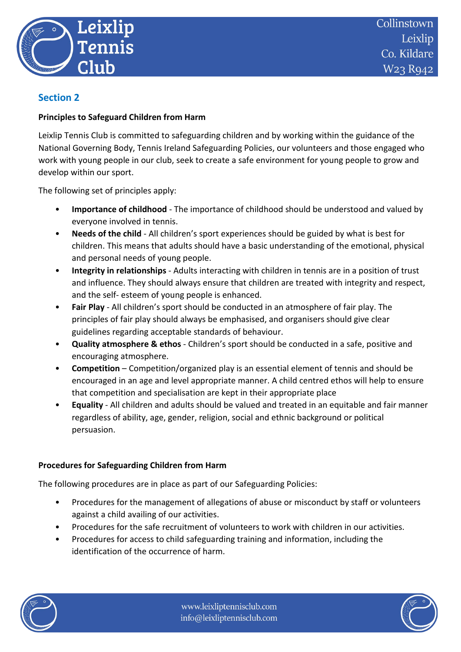

### **Section 2**

#### **Principles to Safeguard Children from Harm**

Leixlip Tennis Club is committed to safeguarding children and by working within the guidance of the National Governing Body, Tennis Ireland Safeguarding Policies, our volunteers and those engaged who work with young people in our club, seek to create a safe environment for young people to grow and develop within our sport.

The following set of principles apply:

- **Importance of childhood** The importance of childhood should be understood and valued by everyone involved in tennis.
- **Needs of the child** All children's sport experiences should be guided by what is best for children. This means that adults should have a basic understanding of the emotional, physical and personal needs of young people.
- **Integrity in relationships** Adults interacting with children in tennis are in a position of trust and influence. They should always ensure that children are treated with integrity and respect, and the self- esteem of young people is enhanced.
- **Fair Play** All children's sport should be conducted in an atmosphere of fair play. The principles of fair play should always be emphasised, and organisers should give clear guidelines regarding acceptable standards of behaviour.
- **Quality atmosphere & ethos** Children's sport should be conducted in a safe, positive and encouraging atmosphere.
- **Competition**  Competition/organized play is an essential element of tennis and should be encouraged in an age and level appropriate manner. A child centred ethos will help to ensure that competition and specialisation are kept in their appropriate place
- **Equality**  All children and adults should be valued and treated in an equitable and fair manner regardless of ability, age, gender, religion, social and ethnic background or political persuasion.

#### **Procedures for Safeguarding Children from Harm**

The following procedures are in place as part of our Safeguarding Policies:

- Procedures for the management of allegations of abuse or misconduct by staff or volunteers against a child availing of our activities.
- Procedures for the safe recruitment of volunteers to work with children in our activities.
- Procedures for access to child safeguarding training and information, including the identification of the occurrence of harm.



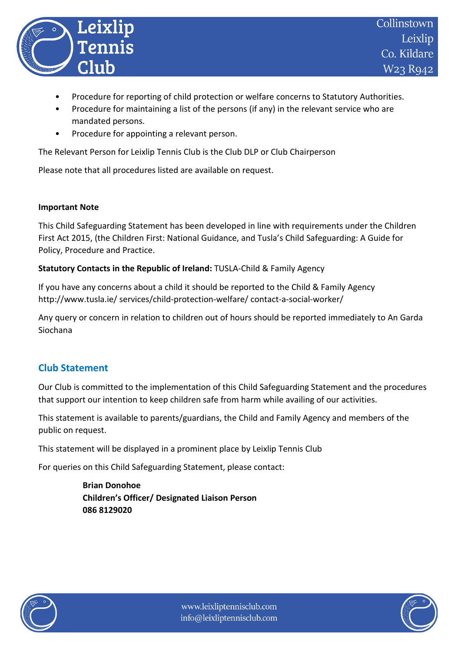

- Procedure for reporting of child protection or welfare concerns to Statutory Authorities.
- Procedure for maintaining a list of the persons (if any) in the relevant service who are mandated persons.
- Procedure for appointing a relevant person.

The Relevant Person for Leixlip Tennis Club is the Club DLP or Club Chairperson

Please note that all procedures listed are available on request.

#### **Important Note**

This Child Safeguarding Statement has been developed in line with requirements under the Children First Act 2015, (the Children First: National Guidance, and Tusla's Child Safeguarding: A Guide for Policy, Procedure and Practice.

#### **Statutory Contacts in the Republic of Ireland:** TUSLA-Child & Family Agency

If you have any concerns about a child it should be reported to the Child & Family Agency http://www.tusla.ie/ services/child-protection-welfare/ contact-a-social-worker/

Any query or concern in relation to children out of hours should be reported immediately to An Garda Siochana

## **Club Statement**

Our Club is committed to the implementation of this Child Safeguarding Statement and the procedures that support our intention to keep children safe from harm while availing of our activities.

This statement is available to parents/guardians, the Child and Family Agency and members of the public on request.

This statement will be displayed in a prominent place by Leixlip Tennis Club

For queries on this Child Safeguarding Statement, please contact:

**Brian Donohoe Children's Officer/ Designated Liaison Person 086 8129020**